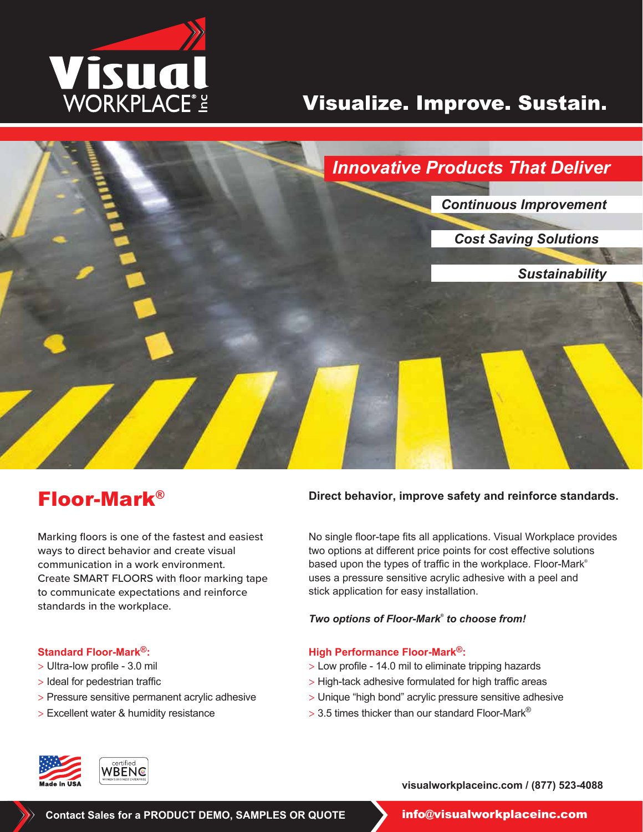

# Visualize. Improve. Sustain.



Marking floors is one of the fastest and easiest ways to direct behavior and create visual communication in a work environment. Create SMART FLOORS with floor marking tape to communicate expectations and reinforce standards in the workplace.

### **Standard Floor-Mark®:**

- > Ultra-low profile 3.0 mil
- > Ideal for pedestrian traffic
- > Pressure sensitive permanent acrylic adhesive
- > Excellent water & humidity resistance

## **Floor-Mark**<sup>®</sup> Direct behavior, improve safety and reinforce standards.

No single floor-tape fits all applications. Visual Workplace provides two options at different price points for cost effective solutions based upon the types of traffic in the workplace. Floor-Mark ® uses a pressure sensitive acrylic adhesive with a peel and stick application for easy installation.

#### *Two options of Floor-Mark® to choose from!*

#### **High Performance Floor-Mark®:**

- > Low profile 14.0 mil to eliminate tripping hazards
- > High-tack adhesive formulated for high traffic areas
- > Unique "high bond" acrylic pressure sensitive adhesive
- $>$  3.5 times thicker than our standard Floor-Mark®



**visualworkplaceinc.com / (877) 523-4088**